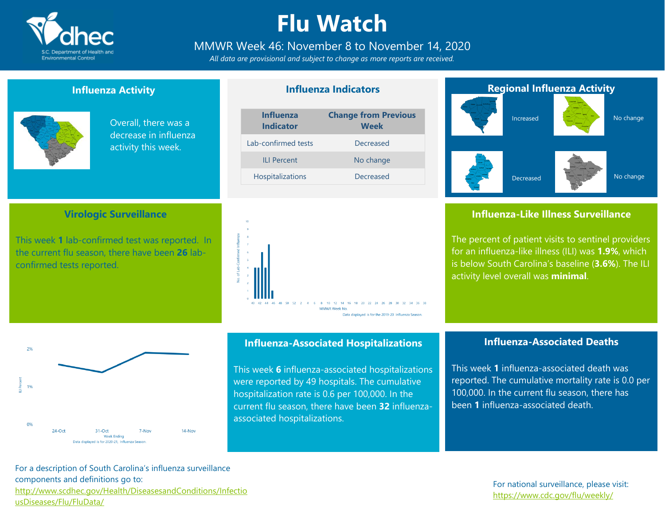

## **Flu Watch**

### MMWR Week 46: November 8 to November 14, 2020

*All data are provisional and subject to change as more reports are received.*

### **Influenza Activity**

**Virologic Surveillance**

This week **1** lab-confirmed test was reported. In the current flu season, there have been **26** lab-



confirmed tests reported.

 $24-Ort$ 

Overall, there was a decrease in influenza activity this week.

### **Influenza Indicators**

| <b>Change from Previous</b><br><b>Week</b> |
|--------------------------------------------|
| Decreased                                  |
| No change                                  |
| Decreased                                  |
|                                            |





 $31-Ort$ 

Week Ending Data displayed is for 2020-21, Influenza Season. **Influenza-Associated Hospitalizations**

This week **6** influenza-associated hospitalizations were reported by 49 hospitals. The cumulative hospitalization rate is 0.6 per 100,000. In the current flu season, there have been **32** influenzaassociated hospitalizations.



### **Influenza-Like Illness Surveillance**

The percent of patient visits to sentinel providers for an influenza-like illness (ILI) was **1.9%**, which is below South Carolina's baseline (**3.6%**). The ILI activity level overall was **minimal**.

### **Influenza-Associated Deaths**

This week **1** influenza-associated death was reported. The cumulative mortality rate is 0.0 per 100,000. In the current flu season, there has been **1** influenza-associated death.

For a description of South Carolina's influenza surveillance components and definitions go to: [http://www.scdhec.gov/Health/DiseasesandConditions/Infectio](http://www.scdhec.gov/Health/DiseasesandConditions/InfectiousDiseases/Flu/FluData/) [usDiseases/Flu/FluData/](http://www.scdhec.gov/Health/DiseasesandConditions/InfectiousDiseases/Flu/FluData/)

7-Nov

 $14-Nov$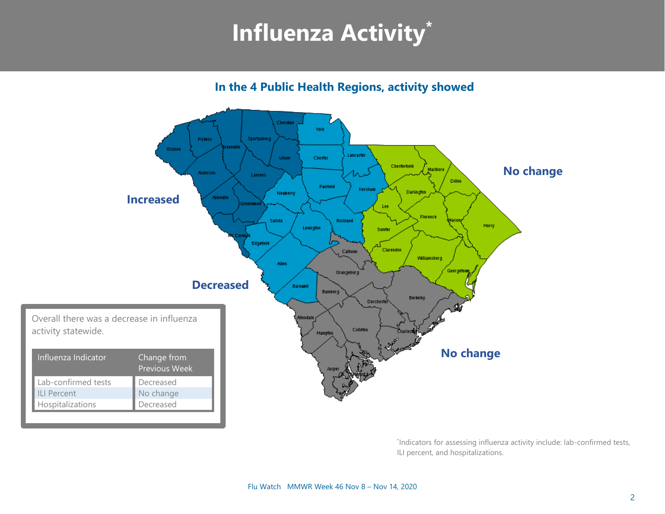## **Influenza Activity\***

**In the 4 Public Health Regions, activity showed**



\* Indicators for assessing influenza activity include: lab-confirmed tests, ILI percent, and hospitalizations.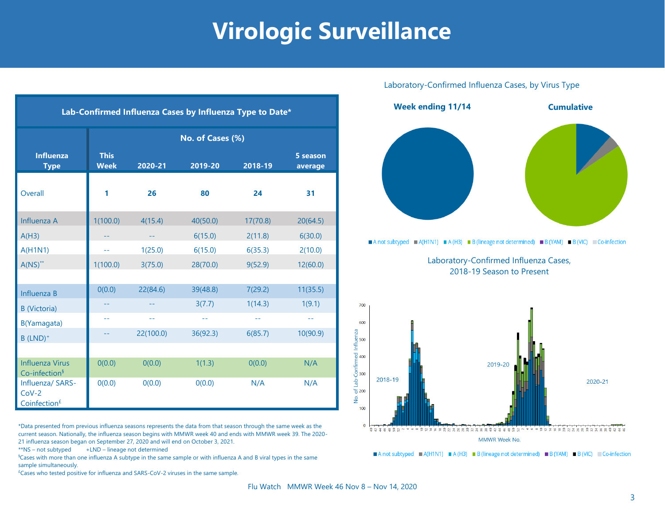## **Virologic Surveillance**

| Lab-Confirmed Influenza Cases by Influenza Type to Date* |                            |                             |          |          |                     |  |
|----------------------------------------------------------|----------------------------|-----------------------------|----------|----------|---------------------|--|
|                                                          | No. of Cases (%)           |                             |          |          |                     |  |
| <b>Influenza</b><br><b>Type</b>                          | <b>This</b><br><b>Week</b> | 2020-21                     | 2019-20  | 2018-19  | 5 season<br>average |  |
| Overall                                                  | 1                          | 26                          | 80       | 24       | 31                  |  |
| Influenza A                                              | 1(100.0)                   | 4(15.4)                     | 40(50.0) | 17(70.8) | 20(64.5)            |  |
| A(H3)                                                    |                            | $\rightarrow$ $\rightarrow$ | 6(15.0)  | 2(11.8)  | 6(30.0)             |  |
| A(H1N1)                                                  | 44                         | 1(25.0)                     | 6(15.0)  | 6(35.3)  | 2(10.0)             |  |
| $A(NS)^{**}$                                             | 1(100.0)                   | 3(75.0)                     | 28(70.0) | 9(52.9)  | 12(60.0)            |  |
|                                                          |                            |                             |          |          |                     |  |
| Influenza B                                              | 0(0.0)                     | 22(84.6)                    | 39(48.8) | 7(29.2)  | 11(35.5)            |  |
| <b>B</b> (Victoria)                                      |                            |                             | 3(7.7)   | 1(14.3)  | 1(9.1)              |  |
| B(Yamagata)                                              | $-1$                       | $\overline{\phantom{m}}$    | $- -$    | $ -$     | $\sim$ $-$          |  |
| $B$ (LND) <sup>+</sup>                                   | --                         | 22(100.0)                   | 36(92.3) | 6(85.7)  | 10(90.9)            |  |
|                                                          |                            |                             |          |          |                     |  |
| <b>Influenza Virus</b><br>Co-infection <sup>§</sup>      | 0(0.0)                     | 0(0.0)                      | 1(1.3)   | 0(0.0)   | N/A                 |  |
| Influenza/ SARS-<br>$Cov-2$<br>Coinfection <sup>£</sup>  | 0(0.0)                     | 0(0.0)                      | 0(0.0)   | N/A      | N/A                 |  |

\*Data presented from previous influenza seasons represents the data from that season through the same week as the current season. Nationally, the influenza season begins with MMWR week 40 and ends with MMWR week 39. The 2020- 21 influenza season began on September 27, 2020 and will end on October 3, 2021.

\*\*NS – not subtyped +LND – lineage not determined

§Cases with more than one influenza A subtype in the same sample or with influenza A and B viral types in the same sample simultaneously.

 $E$ Cases who tested positive for influenza and SARS-CoV-2 viruses in the same sample.

### Laboratory-Confirmed Influenza Cases, by Virus Type



A not subtyped A (H1N1) A (H3) B (lineage not determined) B (YAM) B (VIC) Co-infection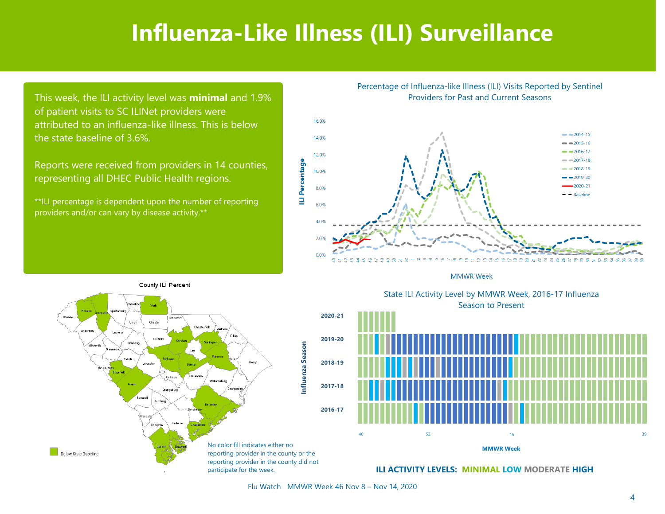## **Influenza-Like Illness (ILI) Surveillance**

This week, the ILI activity level was **minimal** and 1.9% of patient visits to SC ILINet providers were attributed to an influenza-like illness. This is below the state baseline of 3.6%.

Reports were received from providers in 14 counties, representing all DHEC Public Health regions.

\*\*ILI percentage is dependent upon the number of reporting providers and/or can vary by disease activity.\*\*

Percentage of Influenza-like Illness (ILI) Visits Reported by Sentinel Providers for Past and Current Seasons



**MMWR Week** 



State ILI Activity Level by MMWR Week, 2016-17 Influenza Season to Present State ILI Activity Level by MMWR Week, 2016-17 Influenza



**ILI ACTIVITY LEVELS: MINIMAL LOW MODERATE HIGH**

Flu Watch MMWR Week 46 Nov 8 – Nov 14, 2020